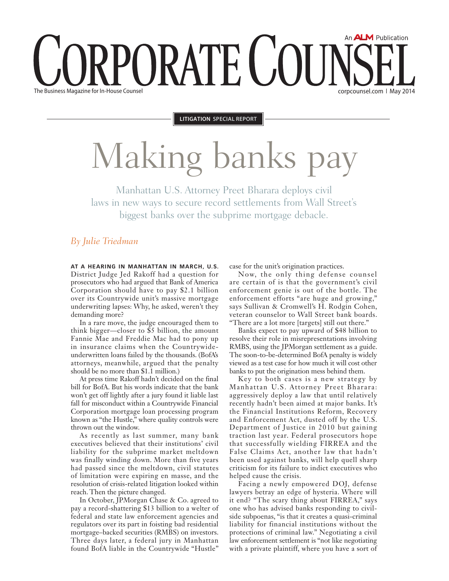# An **ALM** Publication PORATE COU The Business Magazine for In-House Counsel corpcounsel.com ❘ May 2014

**Litigation Special Report**

# Making banks pay

Manhattan U.S. Attorney Preet Bharara deploys civil laws in new ways to secure record settlements from Wall Street's biggest banks over the subprime mortgage debacle.

#### *By Julie Triedman*

**At a hearing in Manhattan in March, U.S.**  District Judge Jed Rakoff had a question for prosecutors who had argued that Bank of America Corporation should have to pay \$2.1 billion over its Countrywide unit's massive mortgage underwriting lapses: Why, he asked, weren't they demanding more?

In a rare move, the judge encouraged them to think bigger—closer to \$5 billion, the amount Fannie Mae and Freddie Mac had to pony up in insurance claims when the Countrywideunderwritten loans failed by the thousands. (BofA's attorneys, meanwhile, argued that the penalty should be no more than \$1.1 million.)

At press time Rakoff hadn't decided on the final bill for BofA. But his words indicate that the bank won't get off lightly after a jury found it liable last fall for misconduct within a Countrywide Financial Corporation mortgage loan processing program known as "the Hustle," where quality controls were thrown out the window.

As recently as last summer, many bank executives believed that their institutions' civil liability for the subprime market meltdown was finally winding down. More than five years had passed since the meltdown, civil statutes of limitation were expiring en masse, and the resolution of crisis-related litigation looked within reach. Then the picture changed.

In October, JPMorgan Chase & Co. agreed to pay a record-shattering \$13 billion to a welter of federal and state law enforcement agencies and regulators over its part in foisting bad residential mortgage–backed securities (RMBS) on investors. Three days later, a federal jury in Manhattan found BofA liable in the Countrywide "Hustle"

case for the unit's origination practices.

Now, the only thing defense counsel are certain of is that the government's civil enforcement genie is out of the bottle. The enforcement efforts "are huge and growing," says Sullivan & Cromwell's H. Rodgin Cohen, veteran counselor to Wall Street bank boards. "There are a lot more [targets] still out there."

Banks expect to pay upward of \$48 billion to resolve their role in misrepresentations involving RMBS, using the JPMorgan settlement as a guide. The soon-to-be-determined BofA penalty is widely viewed as a test case for how much it will cost other banks to put the origination mess behind them.

Key to both cases is a new strategy by Manhattan U.S. Attorney Preet Bharara: aggressively deploy a law that until relatively recently hadn't been aimed at major banks. It's the Financial Institutions Reform, Recovery and Enforcement Act, dusted off by the U.S. Department of Justice in 2010 but gaining traction last year. Federal prosecutors hope that successfully wielding FIRREA and the False Claims Act, another law that hadn't been used against banks, will help quell sharp criticism for its failure to indict executives who helped cause the crisis.

Facing a newly empowered DOJ, defense lawyers betray an edge of hysteria. Where will it end? "The scary thing about FIRREA," says one who has advised banks responding to civilside subpoenas, "is that it creates a quasi-criminal liability for financial institutions without the protections of criminal law." Negotiating a civil law enforcement settlement is "not like negotiating with a private plaintiff, where you have a sort of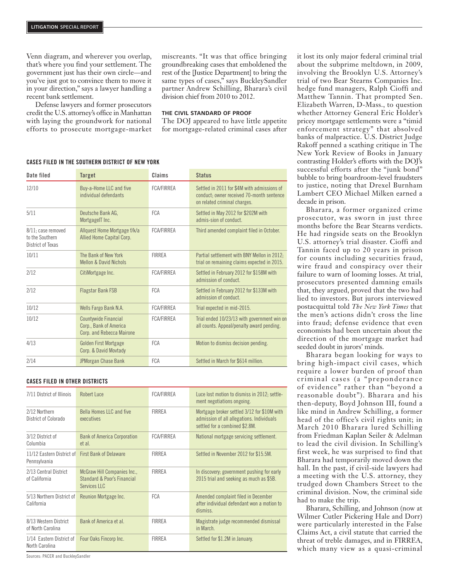Venn diagram, and wherever you overlap, that's where you find your settlement. The government just has their own circle—and you've just got to convince them to move it in your direction," says a lawyer handling a recent bank settlement.

Defense lawyers and former prosecutors credit the U.S. attorney's office in Manhattan with laying the groundwork for national efforts to prosecute mortgage-market

miscreants. "It was that office bringing groundbreaking cases that emboldened the rest of the [Justice Department] to bring the same types of cases," says BuckleySandler partner Andrew Schilling, Bharara's civil division chief from 2010 to 2012.

#### **The Civil standard of proof**

The DOJ appeared to have little appetite for mortgage-related criminal cases after it lost its only major federal criminal trial about the subprime meltdown, in 2009, involving the Brooklyn U.S. Attorney's trial of two Bear Stearns Companies Inc. hedge fund managers, Ralph Cioffi and Matthew Tannin. That prompted Sen. Elizabeth Warren, D-Mass., to question whether Attorney General Eric Holder's pricey mortgage settlements were a "timid enforcement strategy" that absolved banks of malpractice. U.S. District Judge Rakoff penned a scathing critique in The New York Review of Books in January contrasting Holder's efforts with the DOJ's successful efforts after the "junk bond" bubble to bring boardroom-level fraudsters to justice, noting that Drexel Burnham Lambert CEO Michael Milken earned a decade in prison.

Bharara, a former organized crime prosecutor, was sworn in just three months before the Bear Stearns verdicts. He had ringside seats on the Brooklyn U.S. attorney's trial disaster. Cioffi and Tannin faced up to 20 years in prison for counts including securities fraud, wire fraud and conspiracy over their failure to warn of looming losses. At trial, prosecutors presented damning emails that, they argued, proved that the two had lied to investors. But jurors interviewed postacquittal told *The New York Times* that the men's actions didn't cross the line into fraud; defense evidence that even economists had been uncertain about the direction of the mortgage market had seeded doubt in jurors' minds.

Bharara began looking for ways to bring high-impact civil cases, which require a lower burden of proof than criminal cases (a "preponderance of evidence" rather than "beyond a reasonable doubt"). Bharara and his then-deputy, Boyd Johnson III, found a like mind in Andrew Schilling, a former head of the office's civil rights unit; in March 2010 Bharara lured Schilling from Friedman Kaplan Seiler & Adelman to lead the civil division. In Schilling's first week, he was surprised to find that Bharara had temporarily moved down the hall. In the past, if civil-side lawyers had a meeting with the U.S. attorney, they trudged down Chambers Street to the criminal division. Now, the criminal side had to make the trip.

Bharara, Schilling, and Johnson (now at Wilmer Cutler Pickering Hale and Dorr) were particularly interested in the False Claims Act, a civil statute that carried the threat of treble damages, and in FIRREA, which many view as a quasi-criminal

#### Cases filed in the Southern District of New York

| Date filed                                                 | <b>Target</b>                                                               | Claims            | <b>Status</b>                                                                                                            |
|------------------------------------------------------------|-----------------------------------------------------------------------------|-------------------|--------------------------------------------------------------------------------------------------------------------------|
| 12/10                                                      | Buy-a-Home LLC and five<br>individual defendants                            | <b>FCA/FIRREA</b> | Settled in 2011 for \$4M with admissions of<br>conduct; owner received 70-month sentence<br>on related criminal charges. |
| 5/11                                                       | Deutsche Bank AG,<br>MortgageIT Inc.                                        | <b>FCA</b>        | Settled in May 2012 for \$202M with<br>admis-sion of conduct.                                                            |
| 8/11; case removed<br>to the Southern<br>District of Texas | Allquest Home Mortgage f/k/a<br>Allied Home Capital Corp.                   | <b>FCA/FIRREA</b> | Third amended complaint filed in October.                                                                                |
| 10/11                                                      | The Bank of New York<br><b>Mellon &amp; David Nichols</b>                   | <b>FIRREA</b>     | Partial settlement with BNY Mellon in 2012:<br>trial on remaining claims expected in 2015.                               |
| 2/12                                                       | CitiMortgage Inc.                                                           | <b>FCA/FIRREA</b> | Settled in February 2012 for \$158M with<br>admission of conduct.                                                        |
| 2/12                                                       | <b>Flagstar Bank FSB</b>                                                    | <b>FCA</b>        | Settled in February 2012 for \$133M with<br>admission of conduct                                                         |
| 10/12                                                      | Wells Fargo Bank N.A.                                                       | <b>FCA/FIRRFA</b> | Trial expected in mid-2015.                                                                                              |
| 10/12                                                      | Countywide Financial<br>Corp., Bank of America<br>Corp. and Rebecca Mairone | <b>FCA/FIRREA</b> | Trial ended 10/23/13 with government win on<br>all counts. Appeal/penalty award pending.                                 |
| 4/13                                                       | <b>Golden First Mortgage</b><br>Corp. & David Movtady                       | <b>FCA</b>        | Motion to dismiss decision pending.                                                                                      |
| 2/14                                                       | JPMorgan Chase Bank                                                         | <b>FCA</b>        | Settled in March for \$614 million.                                                                                      |

#### Cases filed in other districts

| 7/11 District of Illinois                                        | Robert Luce                                                                       | <b>FCA/FIRREA</b> | Luce lost motion to dismiss in 2012; settle-<br>ment negotiations ongoing.                                                 |
|------------------------------------------------------------------|-----------------------------------------------------------------------------------|-------------------|----------------------------------------------------------------------------------------------------------------------------|
| 2/12 Northern<br>District of Colorado                            | Bella Homes LLC and five<br>executives                                            | <b>FIRREA</b>     | Mortgage broker settled 3/12 for \$10M with<br>admission of all allegations. Individuals<br>settled for a combined \$2.8M. |
| 3/12 District of<br>Columbia                                     | <b>Bank of America Corporation</b><br>et al                                       | <b>FCA/FIRREA</b> | National mortgage servicing settlement.                                                                                    |
| 11/12 Eastern District of First Bank of Delaware<br>Pennsylvania |                                                                                   | <b>FIRREA</b>     | Settled in November 2012 for \$15.5M.                                                                                      |
| 2/13 Central District<br>of California                           | <b>McGraw Hill Companies Inc.,</b><br>Standard & Poor's Financial<br>Services LLC | <b>FIRREA</b>     | In discovery; government pushing for early<br>2015 trial and seeking as much as \$5B.                                      |
| 5/13 Northern District of<br>California                          | Reunion Mortgage Inc.                                                             | <b>FCA</b>        | Amended complaint filed in December<br>after individual defendant won a motion to<br>dismiss                               |
| 8/13 Western District<br>of North Carolina                       | Bank of America et al.                                                            | <b>FIRREA</b>     | Magistrate judge recommended dismissal<br>in March.                                                                        |
| 1/14 Eastern District of<br>North Carolina                       | Four Oaks Fincorp Inc.                                                            | <b>FIRREA</b>     | Settled for \$1.2M in January.                                                                                             |

Sources: PACER and BuckleySandler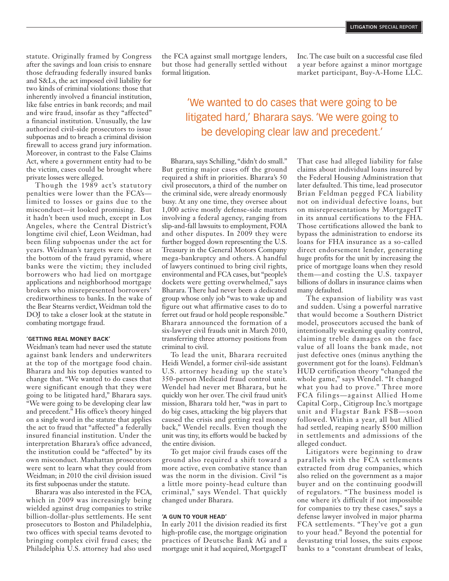statute. Originally framed by Congress after the savings and loan crisis to ensnare those defrauding federally insured banks and S&Ls, the act imposed civil liability for two kinds of criminal violations: those that inherently involved a financial institution, like false entries in bank records; and mail and wire fraud, insofar as they "affected" a financial institution. Unusually, the law authorized civil-side prosecutors to issue subpoenas and to breach a criminal division firewall to access grand jury information. Moreover, in contrast to the False Claims Act, where a government entity had to be the victim, cases could be brought where private losses were alleged.

Though the 1989 act's statutory penalties were lower than the FCA's limited to losses or gains due to the misconduct—it looked promising. But it hadn't been used much, except in Los Angeles, where the Central District's longtime civil chief, Leon Weidman, had been filing subpoenas under the act for years. Weidman's targets were those at the bottom of the fraud pyramid, where banks were the victim; they included borrowers who had lied on mortgage applications and neighborhood mortgage brokers who misrepresented borrowers' creditworthiness to banks. In the wake of the Bear Stearns verdict, Weidman told the DOJ to take a closer look at the statute in combating mortgage fraud.

#### **'getting real money back'**

Weidman's team had never used the statute against bank lenders and underwriters at the top of the mortgage food chain. Bharara and his top deputies wanted to change that. "We wanted to do cases that were significant enough that they were going to be litigated hard," Bharara says. "We were going to be developing clear law and precedent." His office's theory hinged on a single word in the statute that applies the act to fraud that "affected" a federally insured financial institution. Under the interpretation Bharara's office advanced, the institution could be "affected" by its own misconduct. Manhattan prosecutors were sent to learn what they could from Weidman; in 2010 the civil division issued its first subpoenas under the statute.

Bharara was also interested in the FCA, which in 2009 was increasingly being wielded against drug companies to strike billion-dollar-plus settlements. He sent prosecutors to Boston and Philadelphia, two offices with special teams devoted to bringing complex civil fraud cases; the Philadelphia U.S. attorney had also used

the FCA against small mortgage lenders, but those had generally settled without formal litigation.

Inc. The case built on a successful case filed a year before against a minor mortgage market participant, Buy-A-Home LLC.

## 'We wanted to do cases that were going to be litigated hard,' Bharara says. 'We were going to be developing clear law and precedent.'

Bharara, says Schilling, "didn't do small." But getting major cases off the ground required a shift in priorities. Bharara's 50 civil prosecutors, a third of the number on the criminal side, were already enormously busy. At any one time, they oversee about 1,000 active mostly defense-side matters involving a federal agency, ranging from slip-and-fall lawsuits to employment, FOIA and other disputes. In 2009 they were further bogged down representing the U.S. Treasury in the General Motors Company mega-bankruptcy and others. A handful of lawyers continued to bring civil rights, environmental and FCA cases, but "people's dockets were getting overwhelmed," says Bharara. There had never been a dedicated group whose only job "was to wake up and figure out what affirmative cases to do to ferret out fraud or hold people responsible." Bharara announced the formation of a six-lawyer civil frauds unit in March 2010, transferring three attorney positions from criminal to civil.

To lead the unit, Bharara recruited Heidi Wendel, a former civil-side assistant U.S. attorney heading up the state's 350-person Medicaid fraud control unit. Wendel had never met Bharara, but he quickly won her over. The civil fraud unit's mission, Bharara told her, "was in part to do big cases, attacking the big players that caused the crisis and getting real money back," Wendel recalls. Even though the unit was tiny, its efforts would be backed by the entire division.

To get major civil frauds cases off the ground also required a shift toward a more active, even combative stance than was the norm in the division. Civil "is a little more pointy-head culture than criminal," says Wendel. That quickly changed under Bharara.

#### **'a gun to your head'**

In early 2011 the division readied its first high-profile case, the mortgage origination practices of Deutsche Bank AG and a mortgage unit it had acquired, MortgageIT

That case had alleged liability for false claims about individual loans insured by the Federal Housing Administration that later defaulted. This time, lead prosecutor Brian Feldman pegged FCA liability not on individual defective loans, but on misrepresentations by MortgageIT in its annual certifications to the FHA. Those certifications allowed the bank to bypass the administration to endorse its loans for FHA insurance as a so-called direct endorsement lender, generating huge profits for the unit by increasing the price of mortgage loans when they resold them—and costing the U.S. taxpayer billions of dollars in insurance claims when many defaulted.

The expansion of liability was vast and sudden. Using a powerful narrative that would become a Southern District model, prosecutors accused the bank of intentionally weakening quality control, claiming treble damages on the face value of all loans the bank made, not just defective ones (minus anything the government got for the loans). Feldman's HUD certification theory "changed the whole game," says Wendel. "It changed what you had to prove." Three more FCA filings—against Allied Home Capital Corp., Citigroup Inc.'s mortgage unit and Flagstar Bank FSB—soon followed. Within a year, all but Allied had settled, reaping nearly \$500 million in settlements and admissions of the alleged conduct.

Litigators were beginning to draw parallels with the FCA settlements extracted from drug companies, which also relied on the government as a major buyer and on the continuing goodwill of regulators. "The business model is one where it's difficult if not impossible for companies to try these cases," says a defense lawyer involved in major pharma FCA settlements. "They've got a gun to your head." Beyond the potential for devastating trial losses, the suits expose banks to a "constant drumbeat of leaks,